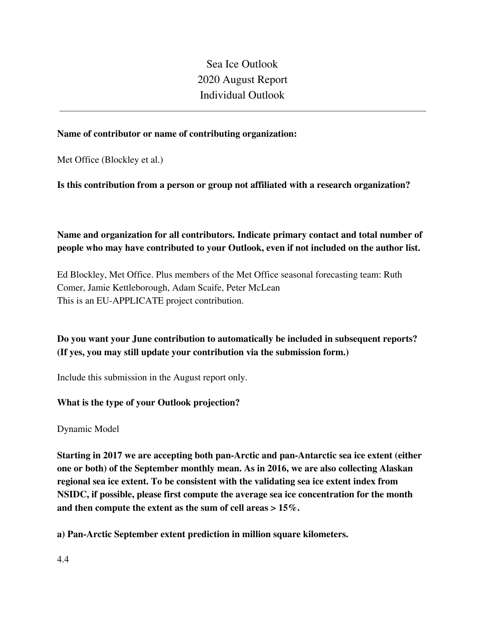Sea Ice Outlook 2020 August Report Individual Outlook

### **Name of contributor or name of contributing organization:**

Met Office (Blockley et al.)

#### **Is this contribution from a person or group not affiliated with a research organization?**

# **Name and organization for all contributors. Indicate primary contact and total number of people who may have contributed to your Outlook, even if not included on the author list.**

Ed Blockley, Met Office. Plus members of the Met Office seasonal forecasting team: Ruth Comer, Jamie Kettleborough, Adam Scaife, Peter McLean This is an EU-APPLICATE project contribution.

## **Do you want your June contribution to automatically be included in subsequent reports? (If yes, you may still update your contribution via the submission form.)**

Include this submission in the August report only.

### **What is the type of your Outlook projection?**

Dynamic Model

**Starting in 2017 we are accepting both pan-Arctic and pan-Antarctic sea ice extent (either one or both) of the September monthly mean. As in 2016, we are also collecting Alaskan regional sea ice extent. To be consistent with the validating sea ice extent index from NSIDC, if possible, please first compute the average sea ice concentration for the month and then compute the extent as the sum of cell areas > 15%.**

**a) Pan-Arctic September extent prediction in million square kilometers.**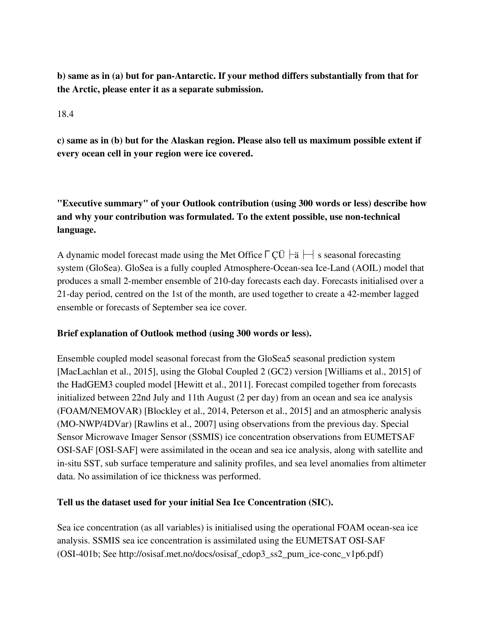**b) same as in (a) but for pan-Antarctic. If your method differs substantially from that for the Arctic, please enter it as a separate submission.**

18.4

**c) same as in (b) but for the Alaskan region. Please also tell us maximum possible extent if every ocean cell in your region were ice covered.**

**"Executive summary" of your Outlook contribution (using 300 words or less) describe how and why your contribution was formulated. To the extent possible, use non-technical language.**

A dynamic model forecast made using the Met Office  $\lceil \frac{C \ddot{U}}{i} \rceil$  s seasonal forecasting system (GloSea). GloSea is a fully coupled Atmosphere-Ocean-sea Ice-Land (AOIL) model that produces a small 2-member ensemble of 210-day forecasts each day. Forecasts initialised over a 21-day period, centred on the 1st of the month, are used together to create a 42-member lagged ensemble or forecasts of September sea ice cover.

### **Brief explanation of Outlook method (using 300 words or less).**

Ensemble coupled model seasonal forecast from the GloSea5 seasonal prediction system [MacLachlan et al., 2015], using the Global Coupled 2 (GC2) version [Williams et al., 2015] of the HadGEM3 coupled model [Hewitt et al., 2011]. Forecast compiled together from forecasts initialized between 22nd July and 11th August (2 per day) from an ocean and sea ice analysis (FOAM/NEMOVAR) [Blockley et al., 2014, Peterson et al., 2015] and an atmospheric analysis (MO-NWP/4DVar) [Rawlins et al., 2007] using observations from the previous day. Special Sensor Microwave Imager Sensor (SSMIS) ice concentration observations from EUMETSAF OSI-SAF [OSI-SAF] were assimilated in the ocean and sea ice analysis, along with satellite and in-situ SST, sub surface temperature and salinity profiles, and sea level anomalies from altimeter data. No assimilation of ice thickness was performed.

### **Tell us the dataset used for your initial Sea Ice Concentration (SIC).**

Sea ice concentration (as all variables) is initialised using the operational FOAM ocean-sea ice analysis. SSMIS sea ice concentration is assimilated using the EUMETSAT OSI-SAF (OSI-401b; See http://osisaf.met.no/docs/osisaf\_cdop3\_ss2\_pum\_ice-conc\_v1p6.pdf)